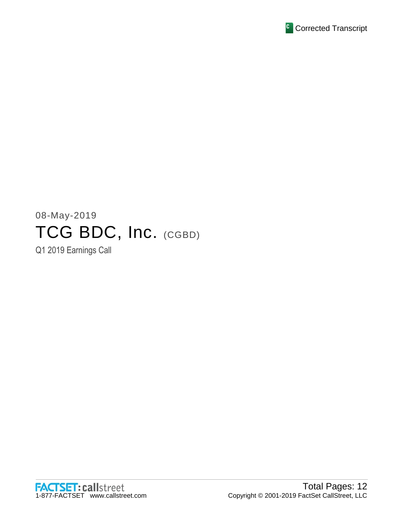

# 08-May-2019 TCG BDC, Inc. (CGBD)

Q1 2019 Earnings Call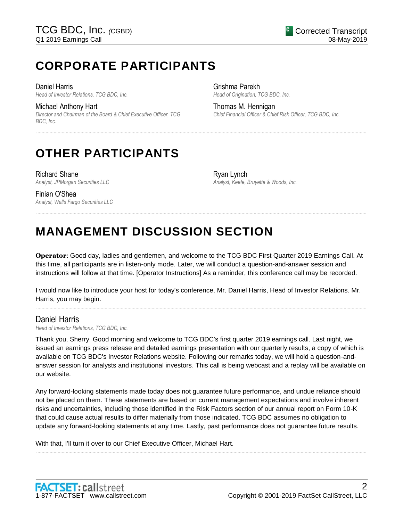# **CORPORATE PARTICIPANTS**

#### Daniel Harris

*Head of Investor Relations, TCG BDC, Inc.*

#### Michael Anthony Hart

*Director and Chairman of the Board & Chief Executive Officer, TCG BDC, Inc.*

Grishma Parekh *Head of Origination, TCG BDC, Inc.*

Thomas M. Hennigan *Chief Financial Officer & Chief Risk Officer, TCG BDC, Inc.*

# **OTHER PARTICIPANTS**

Richard Shane *Analyst, JPMorgan Securities LLC* Ryan Lynch *Analyst, Keefe, Bruyette & Woods, Inc.*

### Finian O'Shea *Analyst, Wells Fargo Securities LLC*

# **MANAGEMENT DISCUSSION SECTION**

**Operator**: Good day, ladies and gentlemen, and welcome to the TCG BDC First Quarter 2019 Earnings Call. At this time, all participants are in listen-only mode. Later, we will conduct a question-and-answer session and instructions will follow at that time. [Operator Instructions] As a reminder, this conference call may be recorded.

......................................................................................................................................................................................................................................................

......................................................................................................................................................................................................................................................

I would now like to introduce your host for today's conference, Mr. Daniel Harris, Head of Investor Relations. Mr. Harris, you may begin.

......................................................................................................................................................................................................................................................

# Daniel Harris

*Head of Investor Relations, TCG BDC, Inc.*

Thank you, Sherry. Good morning and welcome to TCG BDC's first quarter 2019 earnings call. Last night, we issued an earnings press release and detailed earnings presentation with our quarterly results, a copy of which is available on TCG BDC's Investor Relations website. Following our remarks today, we will hold a question-andanswer session for analysts and institutional investors. This call is being webcast and a replay will be available on our website.

Any forward-looking statements made today does not guarantee future performance, and undue reliance should not be placed on them. These statements are based on current management expectations and involve inherent risks and uncertainties, including those identified in the Risk Factors section of our annual report on Form 10-K that could cause actual results to differ materially from those indicated. TCG BDC assumes no obligation to update any forward-looking statements at any time. Lastly, past performance does not guarantee future results.

......................................................................................................................................................................................................................................................

With that, I'll turn it over to our Chief Executive Officer, Michael Hart.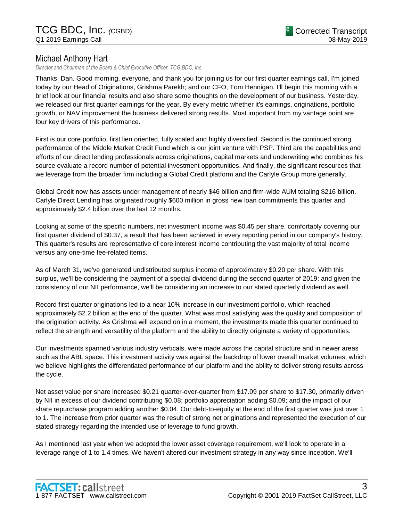# Michael Anthony Hart

*Director and Chairman of the Board & Chief Executive Officer, TCG BDC, Inc.*

Thanks, Dan. Good morning, everyone, and thank you for joining us for our first quarter earnings call. I'm joined today by our Head of Originations, Grishma Parekh; and our CFO, Tom Hennigan. I'll begin this morning with a brief look at our financial results and also share some thoughts on the development of our business. Yesterday, we released our first quarter earnings for the year. By every metric whether it's earnings, originations, portfolio growth, or NAV improvement the business delivered strong results. Most important from my vantage point are four key drivers of this performance.

First is our core portfolio, first lien oriented, fully scaled and highly diversified. Second is the continued strong performance of the Middle Market Credit Fund which is our joint venture with PSP. Third are the capabilities and efforts of our direct lending professionals across originations, capital markets and underwriting who combines his source evaluate a record number of potential investment opportunities. And finally, the significant resources that we leverage from the broader firm including a Global Credit platform and the Carlyle Group more generally.

Global Credit now has assets under management of nearly \$46 billion and firm-wide AUM totaling \$216 billion. Carlyle Direct Lending has originated roughly \$600 million in gross new loan commitments this quarter and approximately \$2.4 billion over the last 12 months.

Looking at some of the specific numbers, net investment income was \$0.45 per share, comfortably covering our first quarter dividend of \$0.37, a result that has been achieved in every reporting period in our company's history. This quarter's results are representative of core interest income contributing the vast majority of total income versus any one-time fee-related items.

As of March 31, we've generated undistributed surplus income of approximately \$0.20 per share. With this surplus, we'll be considering the payment of a special dividend during the second quarter of 2019; and given the consistency of our NII performance, we'll be considering an increase to our stated quarterly dividend as well.

Record first quarter originations led to a near 10% increase in our investment portfolio, which reached approximately \$2.2 billion at the end of the quarter. What was most satisfying was the quality and composition of the origination activity. As Grishma will expand on in a moment, the investments made this quarter continued to reflect the strength and versatility of the platform and the ability to directly originate a variety of opportunities.

Our investments spanned various industry verticals, were made across the capital structure and in newer areas such as the ABL space. This investment activity was against the backdrop of lower overall market volumes, which we believe highlights the differentiated performance of our platform and the ability to deliver strong results across the cycle.

Net asset value per share increased \$0.21 quarter-over-quarter from \$17.09 per share to \$17.30, primarily driven by NII in excess of our dividend contributing \$0.08; portfolio appreciation adding \$0.09; and the impact of our share repurchase program adding another \$0.04. Our debt-to-equity at the end of the first quarter was just over 1 to 1. The increase from prior quarter was the result of strong net originations and represented the execution of our stated strategy regarding the intended use of leverage to fund growth.

As I mentioned last year when we adopted the lower asset coverage requirement, we'll look to operate in a leverage range of 1 to 1.4 times. We haven't altered our investment strategy in any way since inception. We'll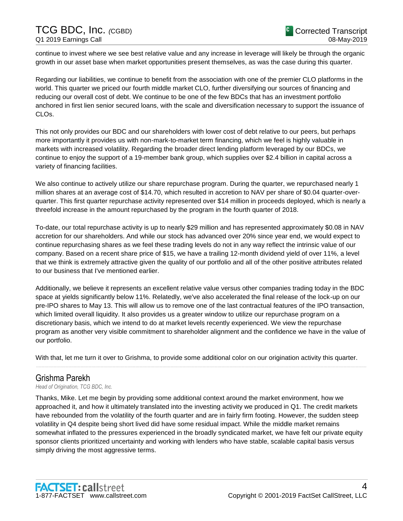continue to invest where we see best relative value and any increase in leverage will likely be through the organic growth in our asset base when market opportunities present themselves, as was the case during this quarter.

Regarding our liabilities, we continue to benefit from the association with one of the premier CLO platforms in the world. This quarter we priced our fourth middle market CLO, further diversifying our sources of financing and reducing our overall cost of debt. We continue to be one of the few BDCs that has an investment portfolio anchored in first lien senior secured loans, with the scale and diversification necessary to support the issuance of CLOs.

This not only provides our BDC and our shareholders with lower cost of debt relative to our peers, but perhaps more importantly it provides us with non-mark-to-market term financing, which we feel is highly valuable in markets with increased volatility. Regarding the broader direct lending platform leveraged by our BDCs, we continue to enjoy the support of a 19-member bank group, which supplies over \$2.4 billion in capital across a variety of financing facilities.

We also continue to actively utilize our share repurchase program. During the quarter, we repurchased nearly 1 million shares at an average cost of \$14.70, which resulted in accretion to NAV per share of \$0.04 quarter-overquarter. This first quarter repurchase activity represented over \$14 million in proceeds deployed, which is nearly a threefold increase in the amount repurchased by the program in the fourth quarter of 2018.

To-date, our total repurchase activity is up to nearly \$29 million and has represented approximately \$0.08 in NAV accretion for our shareholders. And while our stock has advanced over 20% since year end, we would expect to continue repurchasing shares as we feel these trading levels do not in any way reflect the intrinsic value of our company. Based on a recent share price of \$15, we have a trailing 12-month dividend yield of over 11%, a level that we think is extremely attractive given the quality of our portfolio and all of the other positive attributes related to our business that I've mentioned earlier.

Additionally, we believe it represents an excellent relative value versus other companies trading today in the BDC space at yields significantly below 11%. Relatedly, we've also accelerated the final release of the lock-up on our pre-IPO shares to May 13. This will allow us to remove one of the last contractual features of the IPO transaction, which limited overall liquidity. It also provides us a greater window to utilize our repurchase program on a discretionary basis, which we intend to do at market levels recently experienced. We view the repurchase program as another very visible commitment to shareholder alignment and the confidence we have in the value of our portfolio.

With that, let me turn it over to Grishma, to provide some additional color on our origination activity this quarter.

......................................................................................................................................................................................................................................................

# Grishma Parekh

*Head of Origination, TCG BDC, Inc.*

Thanks, Mike. Let me begin by providing some additional context around the market environment, how we approached it, and how it ultimately translated into the investing activity we produced in Q1. The credit markets have rebounded from the volatility of the fourth quarter and are in fairly firm footing. However, the sudden steep volatility in Q4 despite being short lived did have some residual impact. While the middle market remains somewhat inflated to the pressures experienced in the broadly syndicated market, we have felt our private equity sponsor clients prioritized uncertainty and working with lenders who have stable, scalable capital basis versus simply driving the most aggressive terms.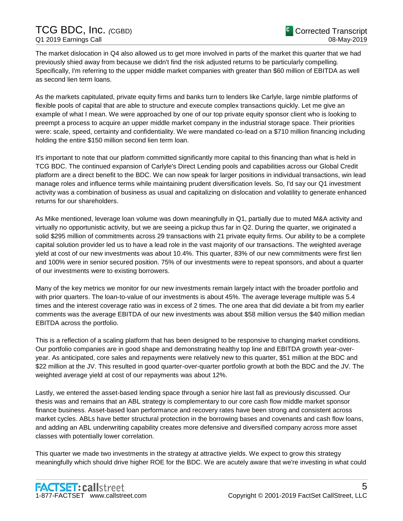The market dislocation in Q4 also allowed us to get more involved in parts of the market this quarter that we had previously shied away from because we didn't find the risk adjusted returns to be particularly compelling. Specifically, I'm referring to the upper middle market companies with greater than \$60 million of EBITDA as well as second lien term loans.

As the markets capitulated, private equity firms and banks turn to lenders like Carlyle, large nimble platforms of flexible pools of capital that are able to structure and execute complex transactions quickly. Let me give an example of what I mean. We were approached by one of our top private equity sponsor client who is looking to preempt a process to acquire an upper middle market company in the industrial storage space. Their priorities were: scale, speed, certainty and confidentiality. We were mandated co-lead on a \$710 million financing including holding the entire \$150 million second lien term loan.

It's important to note that our platform committed significantly more capital to this financing than what is held in TCG BDC. The continued expansion of Carlyle's Direct Lending pools and capabilities across our Global Credit platform are a direct benefit to the BDC. We can now speak for larger positions in individual transactions, win lead manage roles and influence terms while maintaining prudent diversification levels. So, I'd say our Q1 investment activity was a combination of business as usual and capitalizing on dislocation and volatility to generate enhanced returns for our shareholders.

As Mike mentioned, leverage loan volume was down meaningfully in Q1, partially due to muted M&A activity and virtually no opportunistic activity, but we are seeing a pickup thus far in Q2. During the quarter, we originated a solid \$295 million of commitments across 29 transactions with 21 private equity firms. Our ability to be a complete capital solution provider led us to have a lead role in the vast majority of our transactions. The weighted average yield at cost of our new investments was about 10.4%. This quarter, 83% of our new commitments were first lien and 100% were in senior secured position. 75% of our investments were to repeat sponsors, and about a quarter of our investments were to existing borrowers.

Many of the key metrics we monitor for our new investments remain largely intact with the broader portfolio and with prior quarters. The loan-to-value of our investments is about 45%. The average leverage multiple was 5.4 times and the interest coverage ratio was in excess of 2 times. The one area that did deviate a bit from my earlier comments was the average EBITDA of our new investments was about \$58 million versus the \$40 million median EBITDA across the portfolio.

This is a reflection of a scaling platform that has been designed to be responsive to changing market conditions. Our portfolio companies are in good shape and demonstrating healthy top line and EBITDA growth year-overyear. As anticipated, core sales and repayments were relatively new to this quarter, \$51 million at the BDC and \$22 million at the JV. This resulted in good quarter-over-quarter portfolio growth at both the BDC and the JV. The weighted average yield at cost of our repayments was about 12%.

Lastly, we entered the asset-based lending space through a senior hire last fall as previously discussed. Our thesis was and remains that an ABL strategy is complementary to our core cash flow middle market sponsor finance business. Asset-based loan performance and recovery rates have been strong and consistent across market cycles. ABLs have better structural protection in the borrowing bases and covenants and cash flow loans, and adding an ABL underwriting capability creates more defensive and diversified company across more asset classes with potentially lower correlation.

This quarter we made two investments in the strategy at attractive yields. We expect to grow this strategy meaningfully which should drive higher ROE for the BDC. We are acutely aware that we're investing in what could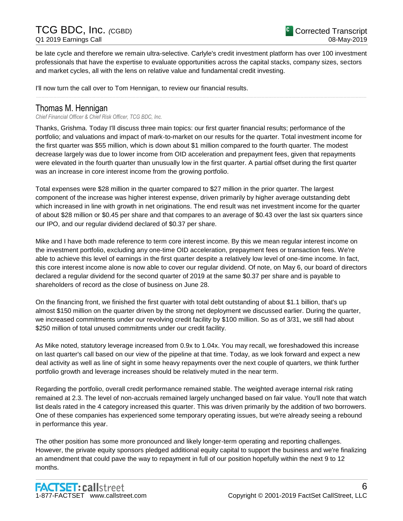be late cycle and therefore we remain ultra-selective. Carlyle's credit investment platform has over 100 investment professionals that have the expertise to evaluate opportunities across the capital stacks, company sizes, sectors and market cycles, all with the lens on relative value and fundamental credit investing.

......................................................................................................................................................................................................................................................

I'll now turn the call over to Tom Hennigan, to review our financial results.

### Thomas M. Hennigan

*Chief Financial Officer & Chief Risk Officer, TCG BDC, Inc.*

Thanks, Grishma. Today I'll discuss three main topics: our first quarter financial results; performance of the portfolio; and valuations and impact of mark-to-market on our results for the quarter. Total investment income for the first quarter was \$55 million, which is down about \$1 million compared to the fourth quarter. The modest decrease largely was due to lower income from OID acceleration and prepayment fees, given that repayments were elevated in the fourth quarter than unusually low in the first quarter. A partial offset during the first quarter was an increase in core interest income from the growing portfolio.

Total expenses were \$28 million in the quarter compared to \$27 million in the prior quarter. The largest component of the increase was higher interest expense, driven primarily by higher average outstanding debt which increased in line with growth in net originations. The end result was net investment income for the quarter of about \$28 million or \$0.45 per share and that compares to an average of \$0.43 over the last six quarters since our IPO, and our regular dividend declared of \$0.37 per share.

Mike and I have both made reference to term core interest income. By this we mean regular interest income on the investment portfolio, excluding any one-time OID acceleration, prepayment fees or transaction fees. We're able to achieve this level of earnings in the first quarter despite a relatively low level of one-time income. In fact, this core interest income alone is now able to cover our regular dividend. Of note, on May 6, our board of directors declared a regular dividend for the second quarter of 2019 at the same \$0.37 per share and is payable to shareholders of record as the close of business on June 28.

On the financing front, we finished the first quarter with total debt outstanding of about \$1.1 billion, that's up almost \$150 million on the quarter driven by the strong net deployment we discussed earlier. During the quarter, we increased commitments under our revolving credit facility by \$100 million. So as of 3/31, we still had about \$250 million of total unused commitments under our credit facility.

As Mike noted, statutory leverage increased from 0.9x to 1.04x. You may recall, we foreshadowed this increase on last quarter's call based on our view of the pipeline at that time. Today, as we look forward and expect a new deal activity as well as line of sight in some heavy repayments over the next couple of quarters, we think further portfolio growth and leverage increases should be relatively muted in the near term.

Regarding the portfolio, overall credit performance remained stable. The weighted average internal risk rating remained at 2.3. The level of non-accruals remained largely unchanged based on fair value. You'll note that watch list deals rated in the 4 category increased this quarter. This was driven primarily by the addition of two borrowers. One of these companies has experienced some temporary operating issues, but we're already seeing a rebound in performance this year.

The other position has some more pronounced and likely longer-term operating and reporting challenges. However, the private equity sponsors pledged additional equity capital to support the business and we're finalizing an amendment that could pave the way to repayment in full of our position hopefully within the next 9 to 12 months.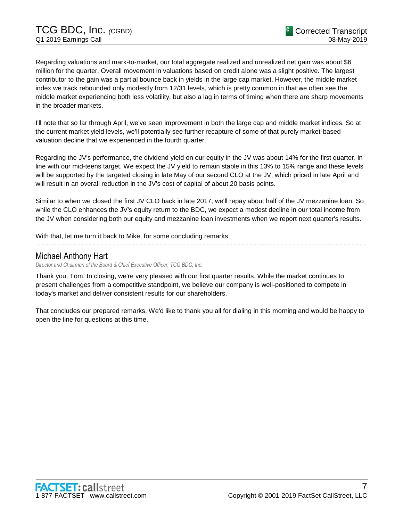Regarding valuations and mark-to-market, our total aggregate realized and unrealized net gain was about \$6 million for the quarter. Overall movement in valuations based on credit alone was a slight positive. The largest contributor to the gain was a partial bounce back in yields in the large cap market. However, the middle market index we track rebounded only modestly from 12/31 levels, which is pretty common in that we often see the middle market experiencing both less volatility, but also a lag in terms of timing when there are sharp movements in the broader markets.

I'll note that so far through April, we've seen improvement in both the large cap and middle market indices. So at the current market yield levels, we'll potentially see further recapture of some of that purely market-based valuation decline that we experienced in the fourth quarter.

Regarding the JV's performance, the dividend yield on our equity in the JV was about 14% for the first quarter, in line with our mid-teens target. We expect the JV yield to remain stable in this 13% to 15% range and these levels will be supported by the targeted closing in late May of our second CLO at the JV, which priced in late April and will result in an overall reduction in the JV's cost of capital of about 20 basis points.

Similar to when we closed the first JV CLO back in late 2017, we'll repay about half of the JV mezzanine loan. So while the CLO enhances the JV's equity return to the BDC, we expect a modest decline in our total income from the JV when considering both our equity and mezzanine loan investments when we report next quarter's results.

......................................................................................................................................................................................................................................................

With that, let me turn it back to Mike, for some concluding remarks.

### Michael Anthony Hart

*Director and Chairman of the Board & Chief Executive Officer, TCG BDC, Inc.*

Thank you, Tom. In closing, we're very pleased with our first quarter results. While the market continues to present challenges from a competitive standpoint, we believe our company is well-positioned to compete in today's market and deliver consistent results for our shareholders.

That concludes our prepared remarks. We'd like to thank you all for dialing in this morning and would be happy to open the line for questions at this time.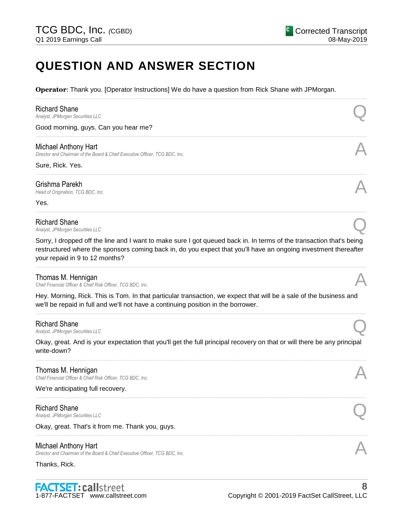# **QUESTION AND ANSWER SECTION**

**Operator**: Thank you. [Operator Instructions] We do have a question from Rick Shane with JPMorgan.

| <b>Richard Shane</b><br>Analyst, JPMorgan Securities LLC                                                                                                                                                                                                                  |  |
|---------------------------------------------------------------------------------------------------------------------------------------------------------------------------------------------------------------------------------------------------------------------------|--|
| Good morning, guys. Can you hear me?                                                                                                                                                                                                                                      |  |
| Michael Anthony Hart<br>Director and Chairman of the Board & Chief Executive Officer, TCG BDC, Inc.                                                                                                                                                                       |  |
| Sure, Rick. Yes.                                                                                                                                                                                                                                                          |  |
| Grishma Parekh<br>Head of Origination, TCG BDC, Inc.                                                                                                                                                                                                                      |  |
| Yes.                                                                                                                                                                                                                                                                      |  |
| <b>Richard Shane</b><br>Analyst, JPMorgan Securities LLC                                                                                                                                                                                                                  |  |
| Sorry, I dropped off the line and I want to make sure I got queued back in. In terms of the transaction that's being<br>restructured where the sponsors coming back in, do you expect that you'll have an ongoing investment thereafter<br>your repaid in 9 to 12 months? |  |
| Thomas M. Hennigan<br>Chief Financial Officer & Chief Risk Officer, TCG BDC, Inc.                                                                                                                                                                                         |  |
| Hey. Morning, Rick. This is Tom. In that particular transaction, we expect that will be a sale of the business and<br>we'll be repaid in full and we'll not have a continuing position in the borrower.                                                                   |  |
| <b>Richard Shane</b><br>Analyst, JPMorgan Securities LLC                                                                                                                                                                                                                  |  |
| Okay, great. And is your expectation that you'll get the full principal recovery on that or will there be any principal<br>write-down?                                                                                                                                    |  |
| Thomas M. Hennigan<br>Chief Financial Officer & Chief Risk Officer, TCG BDC, Inc.                                                                                                                                                                                         |  |
| We're anticipating full recovery.                                                                                                                                                                                                                                         |  |
| <b>Richard Shane</b><br>Analyst, JPMorgan Securities LLC                                                                                                                                                                                                                  |  |
| Okay, great. That's it from me. Thank you, guys.                                                                                                                                                                                                                          |  |
| Michael Anthony Hart<br>Director and Chairman of the Board & Chief Executive Officer, TCG BDC, Inc.                                                                                                                                                                       |  |
| Thanks, Rick.                                                                                                                                                                                                                                                             |  |
|                                                                                                                                                                                                                                                                           |  |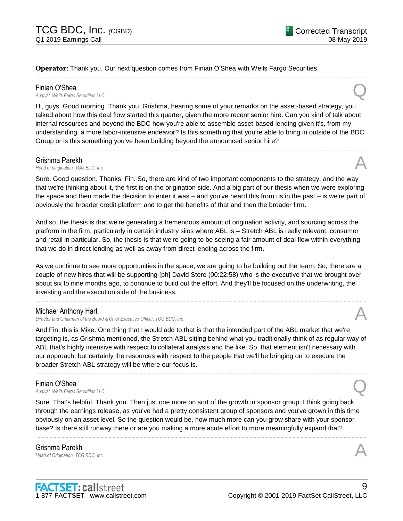**Operator**: Thank you. Our next question comes from Finian O'Shea with Wells Fargo Securities.

#### Finian O'Shea

*Analyst, Wells Fargo Securities LLC* Q

Hi, guys. Good morning. Thank you. Grishma, hearing some of your remarks on the asset-based strategy, you talked about how this deal flow started this quarter, given the more recent senior hire. Can you kind of talk about internal resources and beyond the BDC how you're able to assemble asset-based lending given it's, from my understanding, a more labor-intensive endeavor? Is this something that you're able to bring in outside of the BDC Group or is this something you've been building beyond the announced senior hire?

......................................................................................................................................................................................................................................................

......................................................................................................................................................................................................................................................

#### Grishma Parekh

**Grishma Parekh**<br>*Head of Origination, TCG BDC, Inc.* And *Inc.* And *A* 

Sure. Good question. Thanks, Fin. So, there are kind of two important components to the strategy, and the way that we're thinking about it, the first is on the origination side. And a big part of our thesis when we were exploring the space and then made the decision to enter it was – and you've heard this from us in the past – is we're part of obviously the broader credit platform and to get the benefits of that and then the broader firm.

And so, the thesis is that we're generating a tremendous amount of origination activity, and sourcing across the platform in the firm, particularly in certain industry silos where ABL is – Stretch ABL is really relevant, consumer and retail in particular. So, the thesis is that we're going to be seeing a fair amount of deal flow within everything that we do in direct lending as well as away from direct lending across the firm.

As we continue to see more opportunities in the space, we are going to be building out the team. So, there are a couple of new hires that will be supporting [ph] David Store (00:22:58) who is the executive that we brought over about six to nine months ago, to continue to build out the effort. And they'll be focused on the underwriting, the investing and the execution side of the business.

......................................................................................................................................................................................................................................................

#### Michael Anthony Hart

*Director and Chairman of the Board & Chief Executive Officer, TCG BDC, Inc.* A

And Fin, this is Mike. One thing that I would add to that is that the intended part of the ABL market that we're targeting is, as Grishma mentioned, the Stretch ABL sitting behind what you traditionally think of as regular way of ABL that's highly intensive with respect to collateral analysis and the like. So, that element isn't necessary with our approach, but certainly the resources with respect to the people that we'll be bringing on to execute the broader Stretch ABL strategy will be where our focus is.

......................................................................................................................................................................................................................................................

**Finian O'Shea**<br>Analyst, Wells Fargo Securities LLC *Analyst, Wells Fargo Securities LLC* Q

Sure. That's helpful. Thank you. Then just one more on sort of the growth in sponsor group. I think going back through the earnings release, as you've had a pretty consistent group of sponsors and you've grown in this time obviously on an asset level. So the question would be, how much more can you grow share with your sponsor base? Is there still runway there or are you making a more acute effort to more meaningfully expand that?

......................................................................................................................................................................................................................................................

Grishma Parekh **Grishma Parekh**<br>*Head of Origination, TCG BDC, Inc.* And *Head of Origination, TCG BDC, Inc.*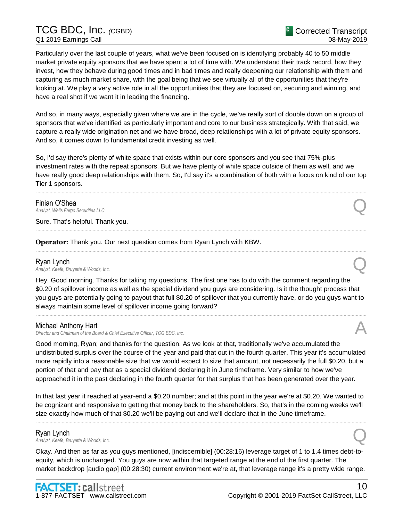# TCG BDC, Inc. *(*CGBD) Q1 2019 Earnings Call

Particularly over the last couple of years, what we've been focused on is identifying probably 40 to 50 middle market private equity sponsors that we have spent a lot of time with. We understand their track record, how they invest, how they behave during good times and in bad times and really deepening our relationship with them and capturing as much market share, with the goal being that we see virtually all of the opportunities that they're looking at. We play a very active role in all the opportunities that they are focused on, securing and winning, and have a real shot if we want it in leading the financing.

And so, in many ways, especially given where we are in the cycle, we've really sort of double down on a group of sponsors that we've identified as particularly important and core to our business strategically. With that said, we capture a really wide origination net and we have broad, deep relationships with a lot of private equity sponsors. And so, it comes down to fundamental credit investing as well.

So, I'd say there's plenty of white space that exists within our core sponsors and you see that 75%-plus investment rates with the repeat sponsors. But we have plenty of white space outside of them as well, and we have really good deep relationships with them. So, I'd say it's a combination of both with a focus on kind of our top Tier 1 sponsors.

......................................................................................................................................................................................................................................................

......................................................................................................................................................................................................................................................

......................................................................................................................................................................................................................................................

**Finian O'Shea**<br>Analyst, Wells Fargo Securities LLC *Analyst, Wells Fargo Securities LLC* Q

Sure. That's helpful. Thank you.

**Operator**: Thank you. Our next question comes from Ryan Lynch with KBW.

# Ryan Lynch

*Analyst, Keefe, Bruyette & Woods, Inc.* Q

Hey. Good morning. Thanks for taking my questions. The first one has to do with the comment regarding the \$0.20 of spillover income as well as the special dividend you guys are considering. Is it the thought process that you guys are potentially going to payout that full \$0.20 of spillover that you currently have, or do you guys want to always maintain some level of spillover income going forward?

......................................................................................................................................................................................................................................................

#### Michael Anthony Hart

*Director and Chairman of the Board & Chief Executive Officer, TCG BDC, Inc.* A

Good morning, Ryan; and thanks for the question. As we look at that, traditionally we've accumulated the undistributed surplus over the course of the year and paid that out in the fourth quarter. This year it's accumulated more rapidly into a reasonable size that we would expect to size that amount, not necessarily the full \$0.20, but a portion of that and pay that as a special dividend declaring it in June timeframe. Very similar to how we've approached it in the past declaring in the fourth quarter for that surplus that has been generated over the year.

In that last year it reached at year-end a \$0.20 number; and at this point in the year we're at \$0.20. We wanted to be cognizant and responsive to getting that money back to the shareholders. So, that's in the coming weeks we'll size exactly how much of that \$0.20 we'll be paying out and we'll declare that in the June timeframe.

......................................................................................................................................................................................................................................................

### Ryan Lynch *Analyst, Keefe, Bruyette & Woods, Inc.* Q

Okay. And then as far as you guys mentioned, [indiscernible] (00:28:16) leverage target of 1 to 1.4 times debt-toequity, which is unchanged. You guys are now within that targeted range at the end of the first quarter. The market backdrop [audio gap] (00:28:30) current environment we're at, that leverage range it's a pretty wide range.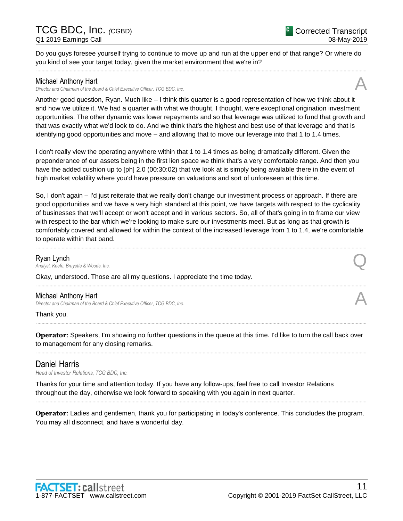#### Do you guys foresee yourself trying to continue to move up and run at the upper end of that range? Or where do you kind of see your target today, given the market environment that we're in? ......................................................................................................................................................................................................................................................

### Michael Anthony Hart

*Director and Chairman of the Board & Chief Executive Officer, TCG BDC, Inc.* A

Another good question, Ryan. Much like – I think this quarter is a good representation of how we think about it and how we utilize it. We had a quarter with what we thought, I thought, were exceptional origination investment opportunities. The other dynamic was lower repayments and so that leverage was utilized to fund that growth and that was exactly what we'd look to do. And we think that's the highest and best use of that leverage and that is identifying good opportunities and move – and allowing that to move our leverage into that 1 to 1.4 times.

I don't really view the operating anywhere within that 1 to 1.4 times as being dramatically different. Given the preponderance of our assets being in the first lien space we think that's a very comfortable range. And then you have the added cushion up to [ph] 2.0 (00:30:02) that we look at is simply being available there in the event of high market volatility where you'd have pressure on valuations and sort of unforeseen at this time.

So, I don't again – I'd just reiterate that we really don't change our investment process or approach. If there are good opportunities and we have a very high standard at this point, we have targets with respect to the cyclicality of businesses that we'll accept or won't accept and in various sectors. So, all of that's going in to frame our view with respect to the bar which we're looking to make sure our investments meet. But as long as that growth is comfortably covered and allowed for within the context of the increased leverage from 1 to 1.4, we're comfortable to operate within that band.

......................................................................................................................................................................................................................................................

......................................................................................................................................................................................................................................................

Ryan Lynch *Analyst, Keefe, Bruyette & Woods, Inc.* Q

Okay, understood. Those are all my questions. I appreciate the time today.

### Michael Anthony Hart

*Director and Chairman of the Board & Chief Executive Officer, TCG BDC, Inc.* A

Thank you.

**Operator**: Speakers, I'm showing no further questions in the queue at this time. I'd like to turn the call back over to management for any closing remarks. ......................................................................................................................................................................................................................................................

......................................................................................................................................................................................................................................................

# Daniel Harris

*Head of Investor Relations, TCG BDC, Inc.*

Thanks for your time and attention today. If you have any follow-ups, feel free to call Investor Relations throughout the day, otherwise we look forward to speaking with you again in next quarter.

**Operator**: Ladies and gentlemen, thank you for participating in today's conference. This concludes the program. You may all disconnect, and have a wonderful day.

......................................................................................................................................................................................................................................................